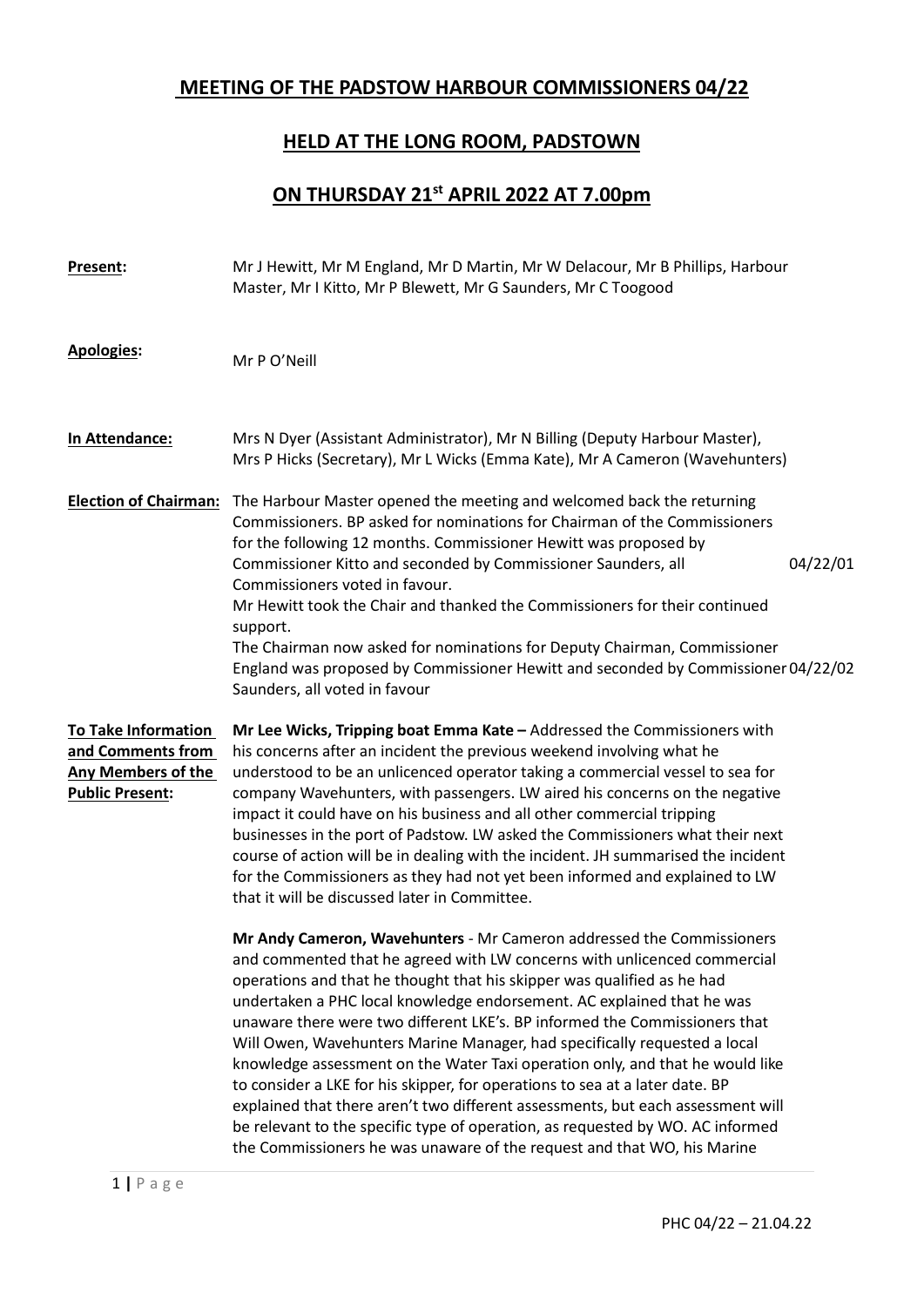## MEETING OF THE PADSTOW HARBOUR COMMISSIONERS 04/22

## HELD AT THE LONG ROOM, PADSTOWN

## ON THURSDAY 21st APRIL 2022 AT 7.00pm

| Present:                                                                                               | Mr J Hewitt, Mr M England, Mr D Martin, Mr W Delacour, Mr B Phillips, Harbour<br>Master, Mr I Kitto, Mr P Blewett, Mr G Saunders, Mr C Toogood                                                                                                                                                                                                                                                                                                                                                                                                                                                                                                                                                                                                                                                                                                                                     |
|--------------------------------------------------------------------------------------------------------|------------------------------------------------------------------------------------------------------------------------------------------------------------------------------------------------------------------------------------------------------------------------------------------------------------------------------------------------------------------------------------------------------------------------------------------------------------------------------------------------------------------------------------------------------------------------------------------------------------------------------------------------------------------------------------------------------------------------------------------------------------------------------------------------------------------------------------------------------------------------------------|
| <b>Apologies:</b>                                                                                      | Mr P O'Neill                                                                                                                                                                                                                                                                                                                                                                                                                                                                                                                                                                                                                                                                                                                                                                                                                                                                       |
| In Attendance:                                                                                         | Mrs N Dyer (Assistant Administrator), Mr N Billing (Deputy Harbour Master),<br>Mrs P Hicks (Secretary), Mr L Wicks (Emma Kate), Mr A Cameron (Wavehunters)                                                                                                                                                                                                                                                                                                                                                                                                                                                                                                                                                                                                                                                                                                                         |
| <b>Election of Chairman:</b>                                                                           | The Harbour Master opened the meeting and welcomed back the returning<br>Commissioners. BP asked for nominations for Chairman of the Commissioners<br>for the following 12 months. Commissioner Hewitt was proposed by<br>Commissioner Kitto and seconded by Commissioner Saunders, all<br>04/22/01<br>Commissioners voted in favour.<br>Mr Hewitt took the Chair and thanked the Commissioners for their continued<br>support.<br>The Chairman now asked for nominations for Deputy Chairman, Commissioner<br>England was proposed by Commissioner Hewitt and seconded by Commissioner 04/22/02<br>Saunders, all voted in favour                                                                                                                                                                                                                                                  |
| <b>To Take Information</b><br>and Comments from<br><b>Any Members of the</b><br><b>Public Present:</b> | Mr Lee Wicks, Tripping boat Emma Kate - Addressed the Commissioners with<br>his concerns after an incident the previous weekend involving what he<br>understood to be an unlicenced operator taking a commercial vessel to sea for<br>company Wavehunters, with passengers. LW aired his concerns on the negative<br>impact it could have on his business and all other commercial tripping<br>businesses in the port of Padstow. LW asked the Commissioners what their next<br>course of action will be in dealing with the incident. JH summarised the incident<br>for the Commissioners as they had not yet been informed and explained to LW<br>that it will be discussed later in Committee.                                                                                                                                                                                  |
|                                                                                                        | Mr Andy Cameron, Wavehunters - Mr Cameron addressed the Commissioners<br>and commented that he agreed with LW concerns with unlicenced commercial<br>operations and that he thought that his skipper was qualified as he had<br>undertaken a PHC local knowledge endorsement. AC explained that he was<br>unaware there were two different LKE's. BP informed the Commissioners that<br>Will Owen, Wavehunters Marine Manager, had specifically requested a local<br>knowledge assessment on the Water Taxi operation only, and that he would like<br>to consider a LKE for his skipper, for operations to sea at a later date. BP<br>explained that there aren't two different assessments, but each assessment will<br>be relevant to the specific type of operation, as requested by WO. AC informed<br>the Commissioners he was unaware of the request and that WO, his Marine |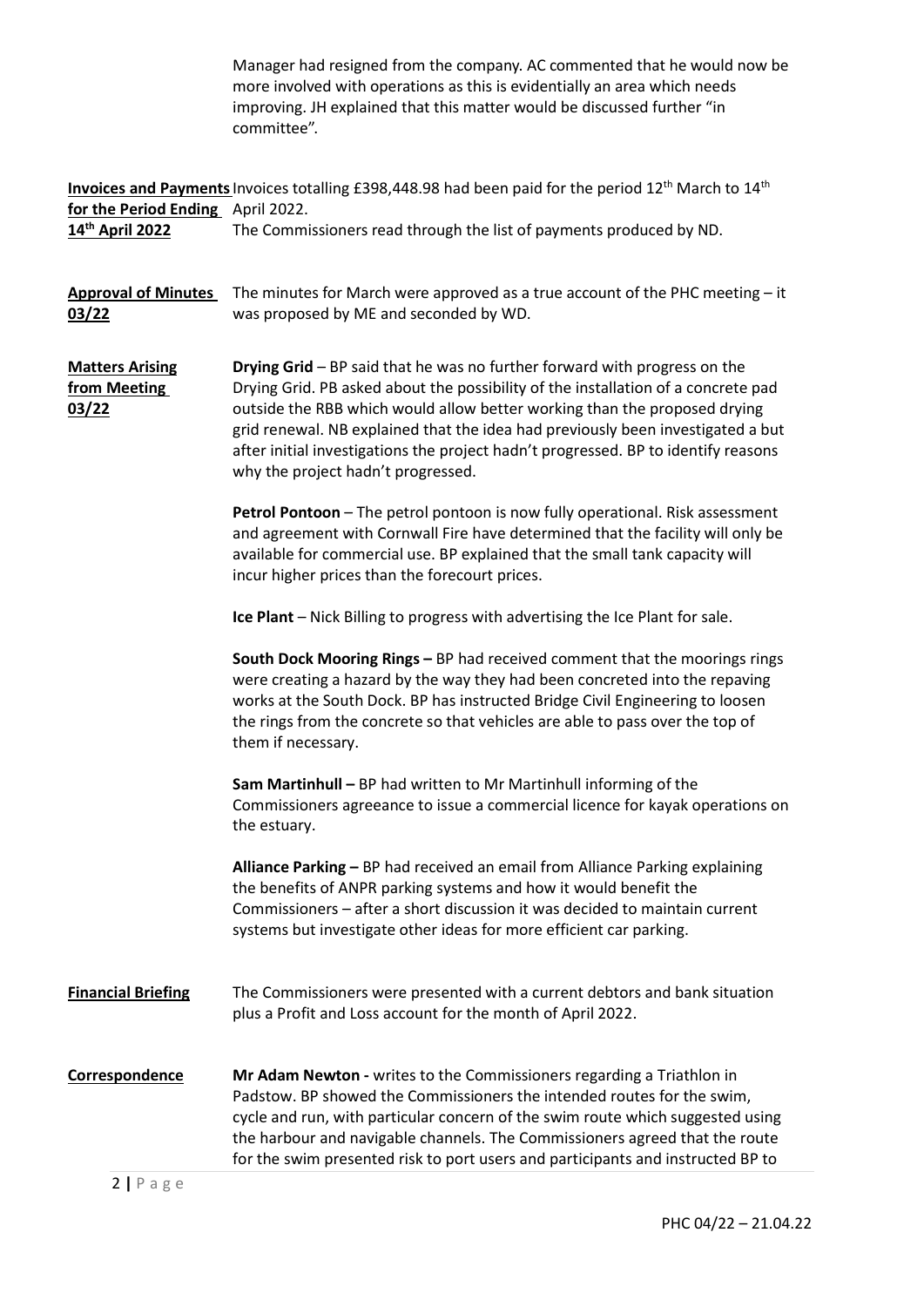|                                                      | Manager had resigned from the company. AC commented that he would now be<br>more involved with operations as this is evidentially an area which needs<br>improving. JH explained that this matter would be discussed further "in<br>committee".                                                                                                                                                                                                            |
|------------------------------------------------------|------------------------------------------------------------------------------------------------------------------------------------------------------------------------------------------------------------------------------------------------------------------------------------------------------------------------------------------------------------------------------------------------------------------------------------------------------------|
| for the Period Ending April 2022.<br>14th April 2022 | <b>Invoices and Payments</b> Invoices totalling £398,448.98 had been paid for the period 12 <sup>th</sup> March to 14 <sup>th</sup><br>The Commissioners read through the list of payments produced by ND.                                                                                                                                                                                                                                                 |
| <b>Approval of Minutes</b><br>03/22                  | The minutes for March were approved as a true account of the PHC meeting $-$ it<br>was proposed by ME and seconded by WD.                                                                                                                                                                                                                                                                                                                                  |
| <b>Matters Arising</b><br>from Meeting<br>03/22      | Drying Grid - BP said that he was no further forward with progress on the<br>Drying Grid. PB asked about the possibility of the installation of a concrete pad<br>outside the RBB which would allow better working than the proposed drying<br>grid renewal. NB explained that the idea had previously been investigated a but<br>after initial investigations the project hadn't progressed. BP to identify reasons<br>why the project hadn't progressed. |
|                                                      | Petrol Pontoon - The petrol pontoon is now fully operational. Risk assessment<br>and agreement with Cornwall Fire have determined that the facility will only be<br>available for commercial use. BP explained that the small tank capacity will<br>incur higher prices than the forecourt prices.                                                                                                                                                         |
|                                                      | Ice Plant - Nick Billing to progress with advertising the Ice Plant for sale.                                                                                                                                                                                                                                                                                                                                                                              |
|                                                      | South Dock Mooring Rings - BP had received comment that the moorings rings<br>were creating a hazard by the way they had been concreted into the repaving<br>works at the South Dock. BP has instructed Bridge Civil Engineering to loosen<br>the rings from the concrete so that vehicles are able to pass over the top of<br>them if necessary.                                                                                                          |
|                                                      | Sam Martinhull - BP had written to Mr Martinhull informing of the<br>Commissioners agreeance to issue a commercial licence for kayak operations on<br>the estuary.                                                                                                                                                                                                                                                                                         |
|                                                      | Alliance Parking - BP had received an email from Alliance Parking explaining<br>the benefits of ANPR parking systems and how it would benefit the<br>Commissioners - after a short discussion it was decided to maintain current<br>systems but investigate other ideas for more efficient car parking.                                                                                                                                                    |
| <b>Financial Briefing</b>                            | The Commissioners were presented with a current debtors and bank situation<br>plus a Profit and Loss account for the month of April 2022.                                                                                                                                                                                                                                                                                                                  |
| Correspondence                                       | Mr Adam Newton - writes to the Commissioners regarding a Triathlon in<br>Padstow. BP showed the Commissioners the intended routes for the swim,<br>cycle and run, with particular concern of the swim route which suggested using<br>the harbour and navigable channels. The Commissioners agreed that the route<br>for the swim presented risk to port users and participants and instructed BP to                                                        |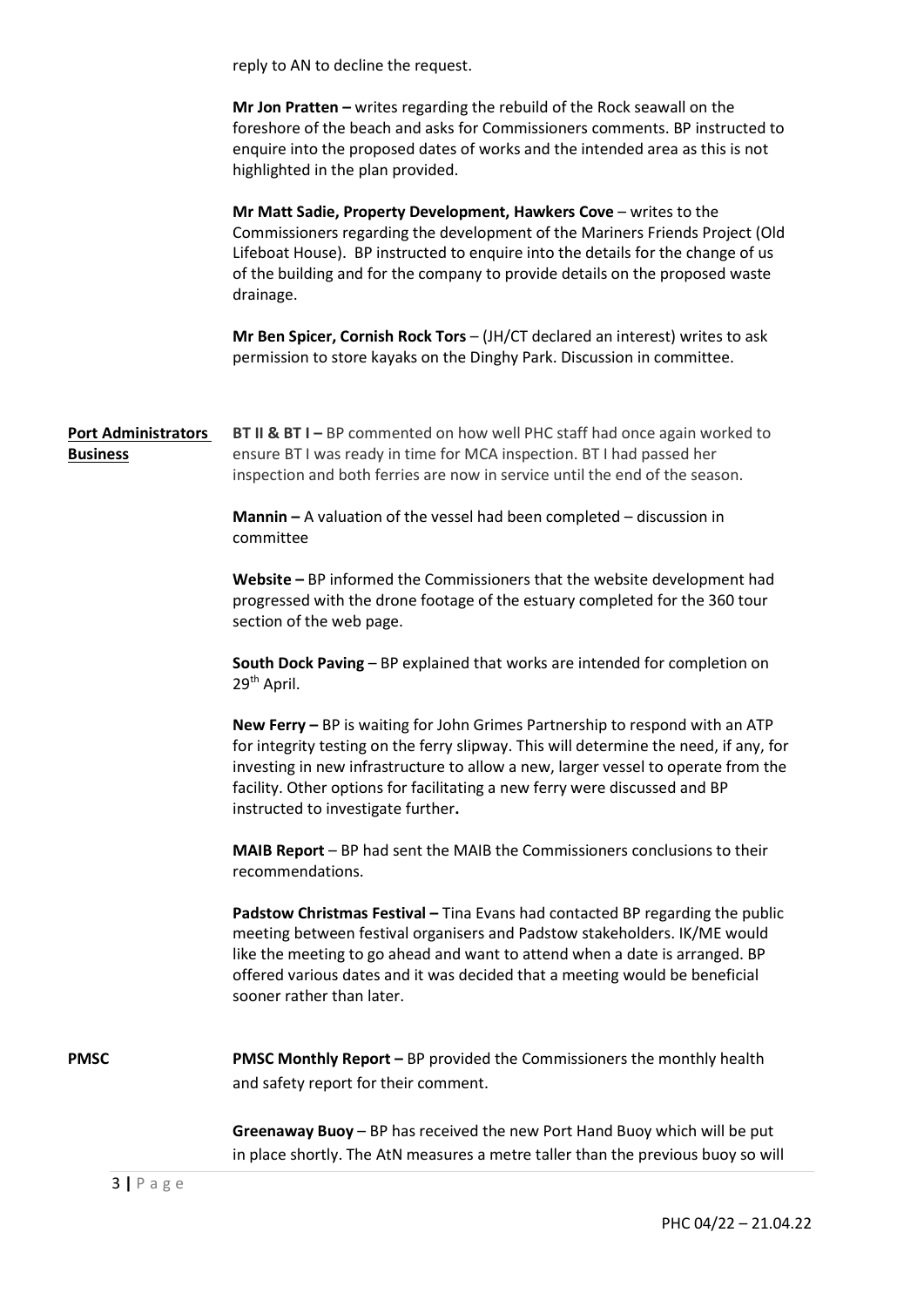reply to AN to decline the request.

Mr Jon Pratten – writes regarding the rebuild of the Rock seawall on the foreshore of the beach and asks for Commissioners comments. BP instructed to enquire into the proposed dates of works and the intended area as this is not highlighted in the plan provided.

Mr Matt Sadie, Property Development, Hawkers Cove – writes to the Commissioners regarding the development of the Mariners Friends Project (Old Lifeboat House). BP instructed to enquire into the details for the change of us of the building and for the company to provide details on the proposed waste drainage.

Mr Ben Spicer, Cornish Rock Tors – (JH/CT declared an interest) writes to ask permission to store kayaks on the Dinghy Park. Discussion in committee.

Port Administrators Business BT II & BT I – BP commented on how well PHC staff had once again worked to ensure BT I was ready in time for MCA inspection. BT I had passed her inspection and both ferries are now in service until the end of the season.

> Mannin – A valuation of the vessel had been completed – discussion in committee

Website – BP informed the Commissioners that the website development had progressed with the drone footage of the estuary completed for the 360 tour section of the web page.

South Dock Paving – BP explained that works are intended for completion on 29th April.

New Ferry – BP is waiting for John Grimes Partnership to respond with an ATP for integrity testing on the ferry slipway. This will determine the need, if any, for investing in new infrastructure to allow a new, larger vessel to operate from the facility. Other options for facilitating a new ferry were discussed and BP instructed to investigate further.

MAIB Report – BP had sent the MAIB the Commissioners conclusions to their recommendations.

Padstow Christmas Festival – Tina Evans had contacted BP regarding the public meeting between festival organisers and Padstow stakeholders. IK/ME would like the meeting to go ahead and want to attend when a date is arranged. BP offered various dates and it was decided that a meeting would be beneficial sooner rather than later.

PMSC PMSC Monthly Report – BP provided the Commissioners the monthly health and safety report for their comment.

> Greenaway Buoy – BP has received the new Port Hand Buoy which will be put in place shortly. The AtN measures a metre taller than the previous buoy so will